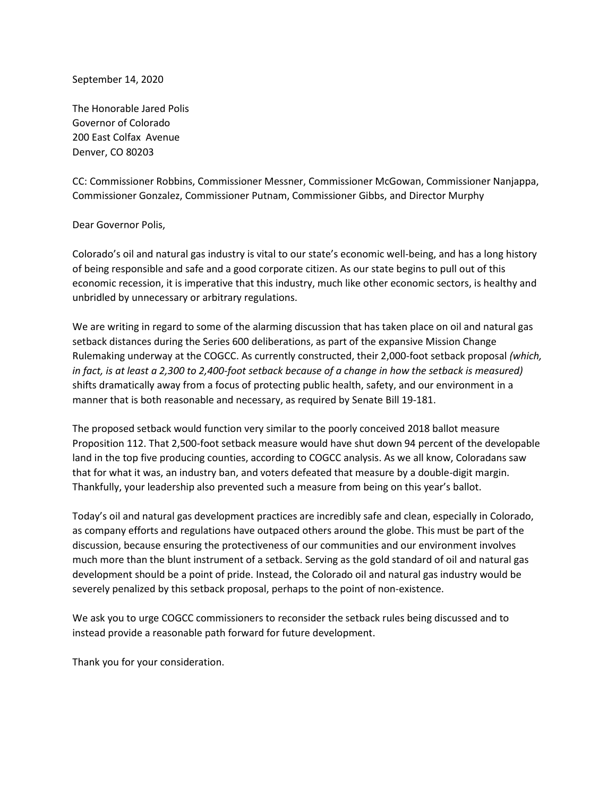September 14, 2020

The Honorable Jared Polis Governor of Colorado 200 East Colfax Avenue Denver, CO 80203

CC: Commissioner Robbins, Commissioner Messner, Commissioner McGowan, Commissioner Nanjappa, Commissioner Gonzalez, Commissioner Putnam, Commissioner Gibbs, and Director Murphy

## Dear Governor Polis,

Colorado's oil and natural gas industry is vital to our state's economic well-being, and has a long history of being responsible and safe and a good corporate citizen. As our state begins to pull out of this economic recession, it is imperative that this industry, much like other economic sectors, is healthy and unbridled by unnecessary or arbitrary regulations.

We are writing in regard to some of the alarming discussion that has taken place on oil and natural gas setback distances during the Series 600 deliberations, as part of the expansive Mission Change Rulemaking underway at the COGCC. As currently constructed, their 2,000-foot setback proposal *(which, in fact, is at least a 2,300 to 2,400-foot setback because of a change in how the setback is measured)* shifts dramatically away from a focus of protecting public health, safety, and our environment in a manner that is both reasonable and necessary, as required by Senate Bill 19-181.

The proposed setback would function very similar to the poorly conceived 2018 ballot measure Proposition 112. That 2,500-foot setback measure would have shut down 94 percent of the developable land in the top five producing counties, according to COGCC analysis. As we all know, Coloradans saw that for what it was, an industry ban, and voters defeated that measure by a double-digit margin. Thankfully, your leadership also prevented such a measure from being on this year's ballot.

Today's oil and natural gas development practices are incredibly safe and clean, especially in Colorado, as company efforts and regulations have outpaced others around the globe. This must be part of the discussion, because ensuring the protectiveness of our communities and our environment involves much more than the blunt instrument of a setback. Serving as the gold standard of oil and natural gas development should be a point of pride. Instead, the Colorado oil and natural gas industry would be severely penalized by this setback proposal, perhaps to the point of non-existence.

We ask you to urge COGCC commissioners to reconsider the setback rules being discussed and to instead provide a reasonable path forward for future development.

Thank you for your consideration.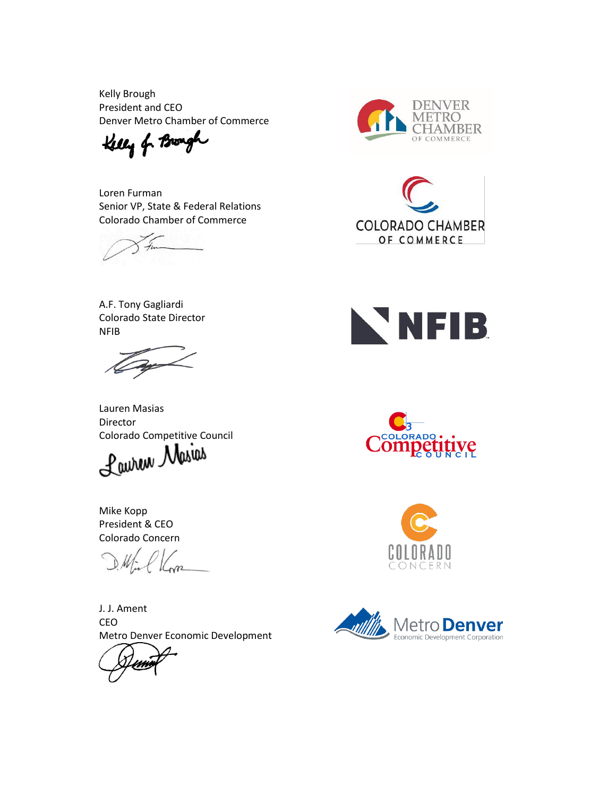Kelly Brough President and CEO Denver Metro Chamber of Commerce

Kelly of Brough

Loren Furman Senior VP, State & Federal Relations Colorado Chamber of Commerce

A.F. Tony Gagliardi Colorado State Director NFIB

Lauren Masias Director

Colorado Competitive Council<br>Laurent Masure

Mike Kopp President & CEO Colorado Concern

J. J. Ament CEO Metro Denver Economic Development











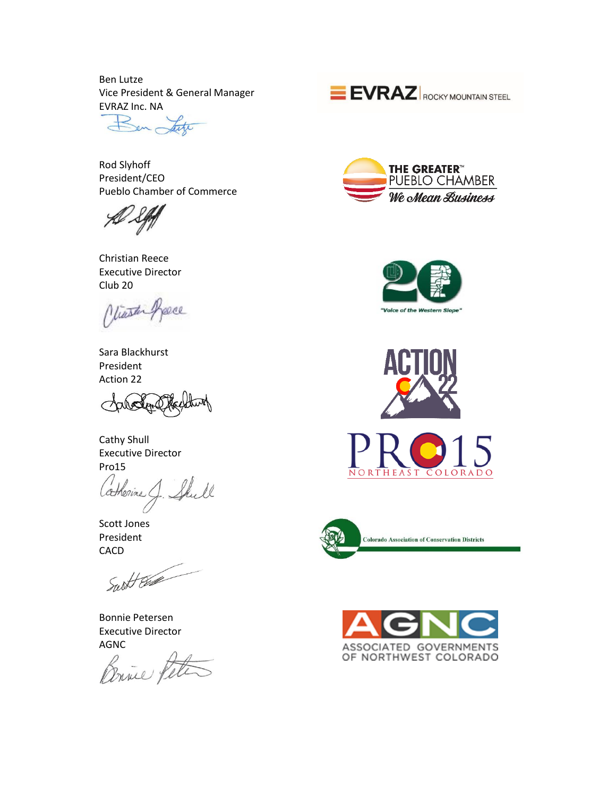Ben Lutze Vice President & General Manager

EVRAZ Inc. NA en,

Rod Slyhoff President/CEO Pueblo Chamber of Commerce

Christian Reece Executive Director Club 20

Jeece Miaster

Sara Blackhurst President Action 22

Cathy Shull Executive Director Pro15

atherine J. Shull

Scott Jones President CACD

Surt Est

Bonnie Petersen Executive Director

AGNC<br>Brites











**Colorado Association of Conservation Districts** 

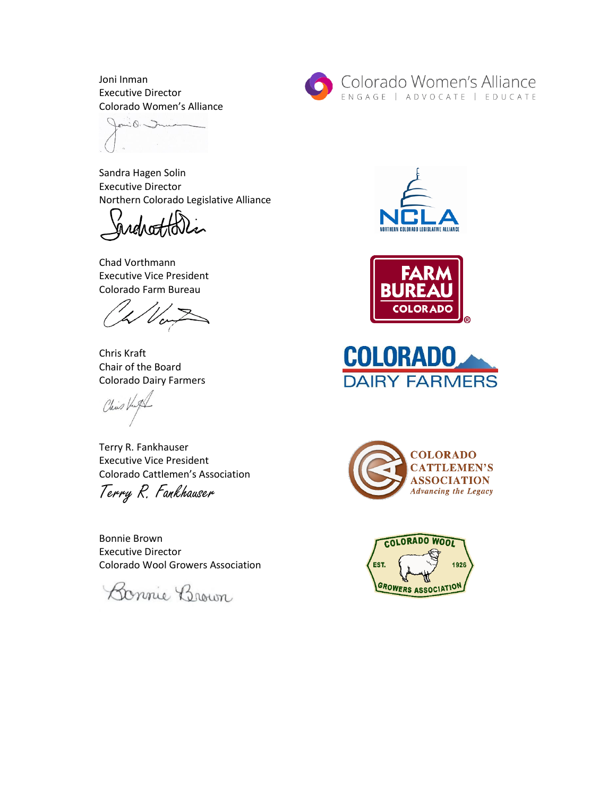Joni Inman Executive Director Colorado Women's Alliance

Jonio Imme

Sandra Hagen Solin Executive Director Northern Colorado Legislative Alliance

Chad Vorthmann Executive Vice President Colorado Farm Bureau

Chris Kraft Chair of the Board Colorado Dairy Farmers

Chis Kut

Terry R. Fankhauser Executive Vice President Colorado Cattlemen's Association Terry R. Fankhauser

Bonnie Brown Executive Director Colorado Wool Growers Association

Bonnie Brown











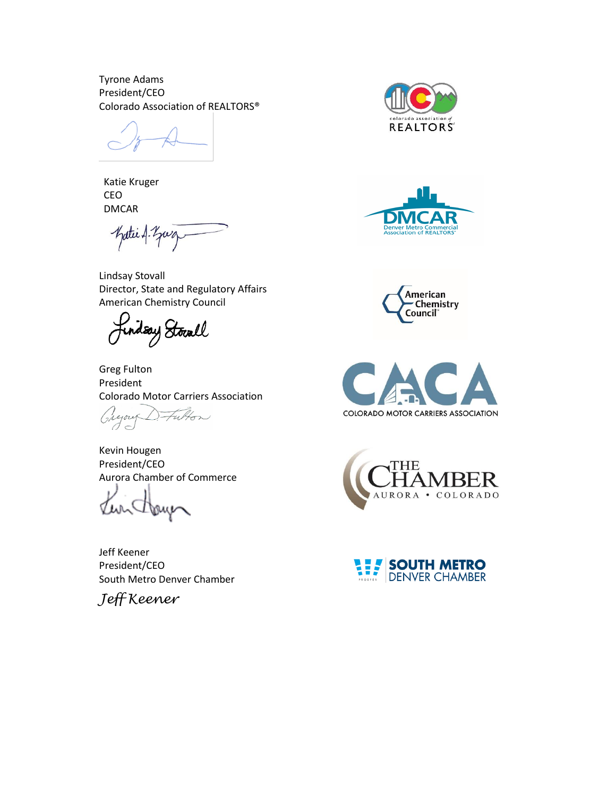Tyrone Adams President/CEO Colorado Association of REALTORS®

Katie Kruger CEO DMCAR

Katie A. Zuz

Lindsay Stovall Director, State and Regulatory Affairs American Chemistry Council

Jindsay Stocall

Greg Fulton President Colorado Motor Carriers Association

Futon Gregory

Kevin Hougen President/CEO Aurora Chamber of Commerce

U Dome

Jeff Keener President/CEO South Metro Denver Chamber













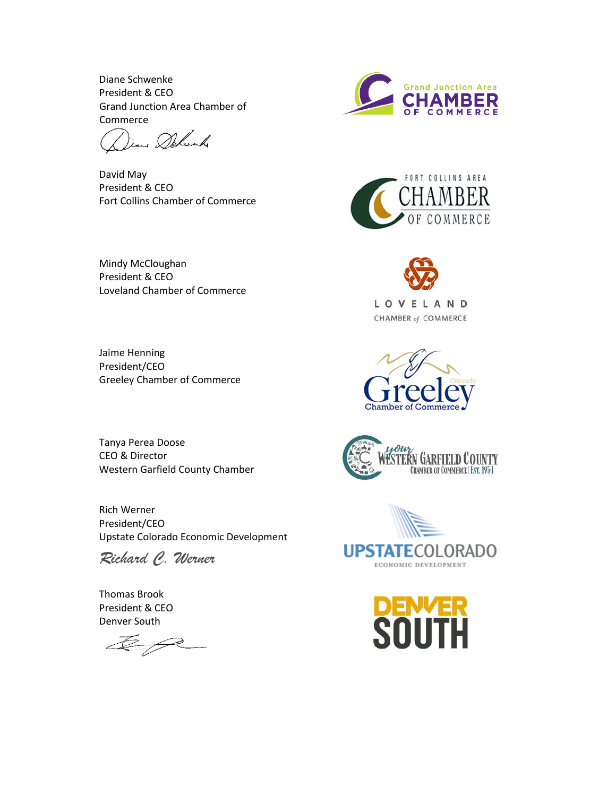Diane Schwenke President & CEO Grand Junction Area Chamber of Commerce

Dian Delwich

David May President & CEO Fort Collins Chamber of Commerce

Mindy McCloughan President & CEO Loveland Chamber of Commerce

Jaime Henning President/CEO Greeley Chamber of Commerce

Tanya Perea Doose CEO & Director Western Garfield County Chamber

Rich Werner President/CEO Upstate Colorado Economic Development

*Richard C. Werner*

Thomas Brook President & CEO Denver South

 $\n *4 6 6 7 8 9 9 1 9 10 10 10 10 10 10 10 10 10 10 10 10 10 10 10 10 10 10 10*$ 













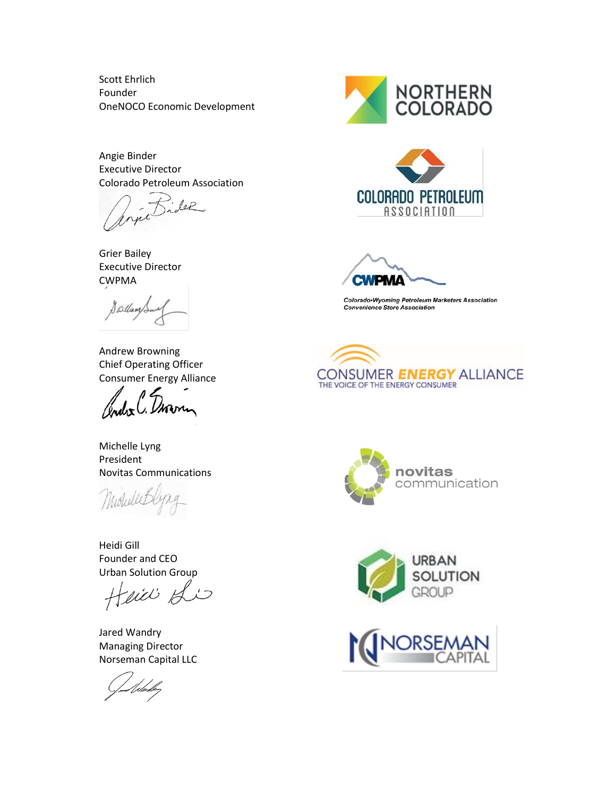Scott Ehrlich Founder OneNOCO Economic Development

Angie Binder Executive Director Colorado Petroleum Association

Bider

Grier Bailey Executive Director CWPMA

Swilliams

Andrew Browning Chief Operating Officer Consumer Energy Alliance

Index C.

Michelle Lyng President Novitas Communications

Heidi Gill Founder and CEO Urban Solution Group

Heici Si

Jared Wandry Managing Director Norseman Capital LLC

Udasle<sub>t</sub>







Colorado•Wyoming Petroleum Marketers Association **Convenience Store Association**